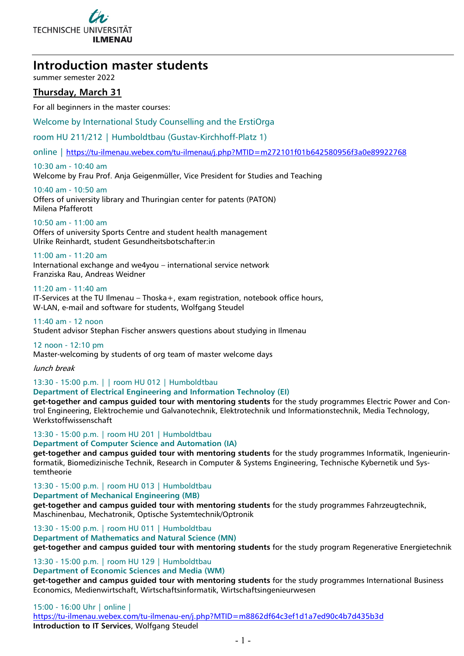

# **Introduction master students**

summer semester 2022

### **Thursday, March 31**

For all beginners in the master courses:

Welcome by International Study Counselling and the ErstiOrga

room HU 211/212 | Humboldtbau (Gustav-Kirchhoff-Platz 1)

online |<https://tu-ilmenau.webex.com/tu-ilmenau/j.php?MTID=m272101f01b642580956f3a0e89922768>

10:30 am - 10:40 am

Welcome by Frau Prof. Anja Geigenmüller, Vice President for Studies and Teaching

10:40 am - 10:50 am Offers of university library and Thuringian center for patents (PATON) Milena Pfafferott

10:50 am - 11:00 am Offers of university Sports Centre and student health management Ulrike Reinhardt, student Gesundheitsbotschafter:in

#### 11:00 am - 11:20 am

International exchange and we4you – international service network Franziska Rau, Andreas Weidner

#### 11:20 am - 11:40 am

IT-Services at the TU Ilmenau – Thoska+, exam registration, notebook office hours, W-LAN, e-mail and software for students, Wolfgang Steudel

11:40 am - 12 noon Student advisor Stephan Fischer answers questions about studying in Ilmenau

12 noon - 12:10 pm Master-welcoming by students of org team of master welcome days

lunch break

#### 13:30 - 15:00 p.m. | | room HU 012 | Humboldtbau

**Department of Electrical Engineering and Information Technoloy (EI)**

**get-together and campus guided tour with mentoring students** for the study programmes Electric Power and Control Engineering, Elektrochemie und Galvanotechnik, Elektrotechnik und Informationstechnik, Media Technology, Werkstoffwissenschaft

13:30 - 15:00 p.m. | room HU 201 | Humboldtbau

#### **Department of Computer Science and Automation (IA)**

**get-together and campus guided tour with mentoring students** for the study programmes Informatik, Ingenieurinformatik, Biomedizinische Technik, Research in Computer & Systems Engineering, Technische Kybernetik und Systemtheorie

#### 13:30 - 15:00 p.m. | room HU 013 | Humboldtbau **Department of Mechanical Engineering (MB)**

**get-together and campus guided tour with mentoring students** for the study programmes Fahrzeugtechnik, Maschinenbau, Mechatronik, Optische Systemtechnik/Optronik

13:30 - 15:00 p.m. | room HU 011 | Humboldtbau

**Department of Mathematics and Natural Science (MN)**

**get-together and campus guided tour with mentoring students** for the study program Regenerative Energietechnik

## 13:30 - 15:00 p.m. | room HU 129 | Humboldtbau

**Department of Economic Sciences and Media (WM)**

**get-together and campus guided tour with mentoring students** for the study programmes International Business Economics, Medienwirtschaft, Wirtschaftsinformatik, Wirtschaftsingenieurwesen

15:00 - 16:00 Uhr | online |

<https://tu-ilmenau.webex.com/tu-ilmenau-en/j.php?MTID=m8862df64c3ef1d1a7ed90c4b7d435b3d> **Introduction to IT Services**, Wolfgang Steudel